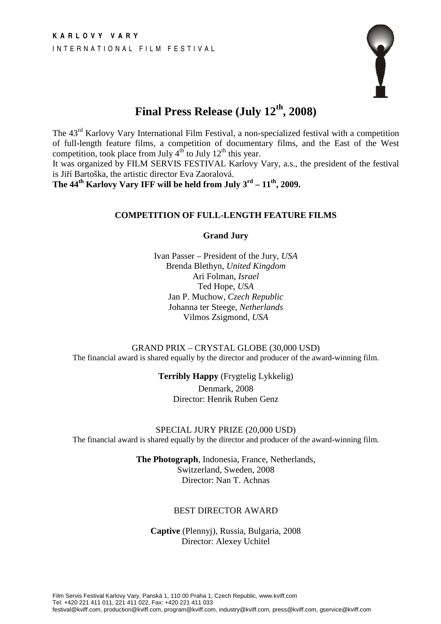

# **Final Press Release (July 12th, 2008)**

The 43rd Karlovy Vary International Film Festival, a non-specialized festival with a competition of full-length feature films, a competition of documentary films, and the East of the West competition, took place from July  $4<sup>th</sup>$  to July  $12<sup>th</sup>$  this year.

It was organized by FILM SERVIS FESTIVAL Karlovy Vary, a.s., the president of the festival is Jiří Bartoška, the artistic director Eva Zaoralová.

**The 44<sup>th</sup> Karlovy Vary IFF will be held from July**  $3^{rd} - 11^{th}$ **, 2009.** 

## **COMPETITION OF FULL-LENGTH FEATURE FILMS**

**Grand Jury** 

Ivan Passer – President of the Jury, *USA* Brenda Blethyn, *United Kingdom* Ari Folman, *Israel* Ted Hope, *USA* Jan P. Muchow, *Czech Republic* Johanna ter Steege, *Netherlands* Vilmos Zsigmond, *USA*

GRAND PRIX – CRYSTAL GLOBE (30,000 USD) The financial award is shared equally by the director and producer of the award-winning film.

> **Terribly Happy** (Frygtelig Lykkelig) Denmark, 2008 Director: Henrik Ruben Genz

SPECIAL JURY PRIZE (20,000 USD) The financial award is shared equally by the director and producer of the award-winning film.

> **The Photograph**, Indonesia, France, Netherlands, Switzerland, Sweden, 2008 Director: Nan T. Achnas

## BEST DIRECTOR AWARD

**Captive** (Plennyj), Russia, Bulgaria, 2008 Director: Alexey Uchitel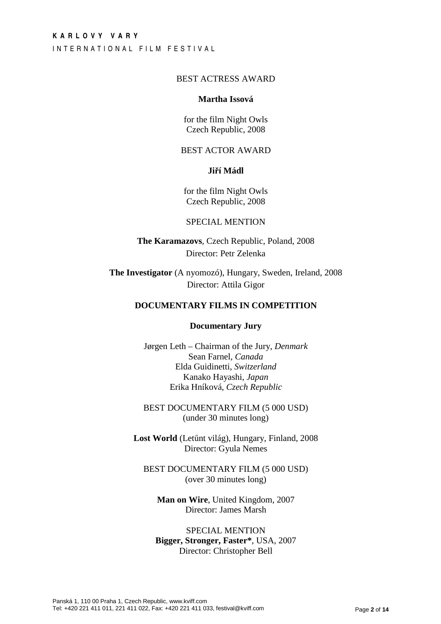I N T E R N A T I O N A L F I L M F E S T I V A L

## BEST ACTRESS AWARD

#### **Martha Issová**

for the film Night Owls Czech Republic, 2008

## BEST ACTOR AWARD

## **Ji**ř**í Mádl**

for the film Night Owls Czech Republic, 2008

## SPECIAL MENTION

**The Karamazovs**, Czech Republic, Poland, 2008 Director: Petr Zelenka

**The Investigator** (A nyomozó), Hungary, Sweden, Ireland, 2008 Director: Attila Gigor

## **DOCUMENTARY FILMS IN COMPETITION**

#### **Documentary Jury**

Jørgen Leth – Chairman of the Jury, *Denmark* Sean Farnel, *Canada* Elda Guidinetti, *Switzerland* Kanako Hayashi, *Japan* Erika Hníková, *Czech Republic*

BEST DOCUMENTARY FILM (5 000 USD) (under 30 minutes long)

**Lost World** (Letűnt világ), Hungary, Finland, 2008 Director: Gyula Nemes

BEST DOCUMENTARY FILM (5 000 USD) (over 30 minutes long)

**Man on Wire**, United Kingdom, 2007 Director: James Marsh

SPECIAL MENTION **Bigger, Stronger, Faster\***, USA, 2007 Director: Christopher Bell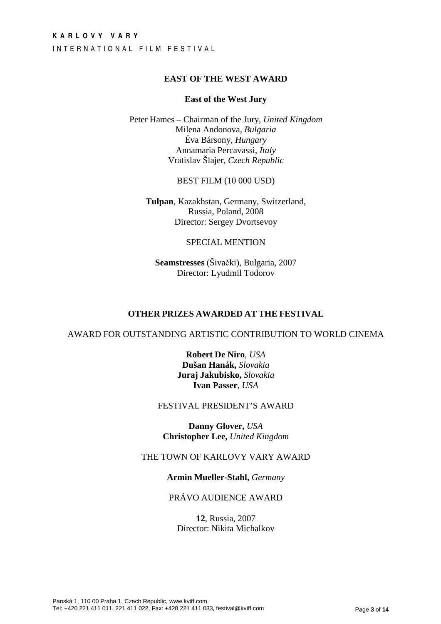## **K A R L O V Y V A R Y**  INTERNATIONAL FILM FESTIVAL

## **EAST OF THE WEST AWARD**

## **East of the West Jury**

Peter Hames – Chairman of the Jury, *United Kingdom* Milena Andonova, *Bulgaria* Éva Bársony, *Hungary*  Annamaria Percavassi, *Italy* Vratislav Šlajer, *Czech Republic*

BEST FILM (10 000 USD)

**Tulpan**, Kazakhstan, Germany, Switzerland, Russia, Poland, 2008 Director: Sergey Dvortsevoy

## SPECIAL MENTION

**Seamstresses** (Šivački), Bulgaria, 2007 Director: Lyudmil Todorov

## **OTHER PRIZES AWARDED AT THE FESTIVAL**

AWARD FOR OUTSTANDING ARTISTIC CONTRIBUTION TO WORLD CINEMA

**Robert De Niro**, *USA* **Dušan Hanák,** *Slovakia*  **Juraj Jakubisko,** *Slovakia*  **Ivan Passer**, *USA* 

#### FESTIVAL PRESIDENT'S AWARD

**Danny Glover,** *USA*  **Christopher Lee,** *United Kingdom* 

## THE TOWN OF KARLOVY VARY AWARD

## **Armin Mueller-Stahl,** *Germany*

## PRÁVO AUDIENCE AWARD

**12**, Russia, 2007 Director: Nikita Michalkov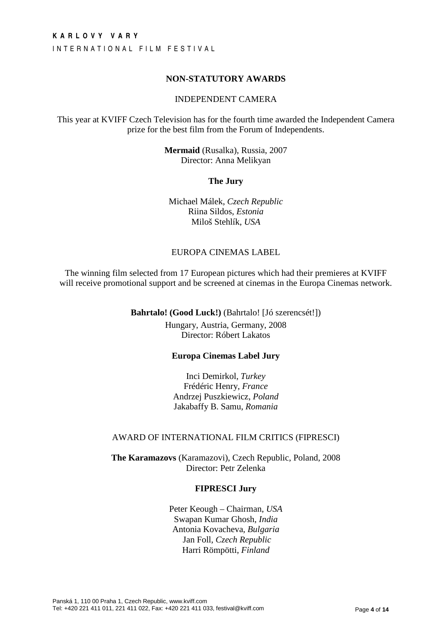I N T E R N A T I O N A L F I L M F E S T I V A L

## **NON-STATUTORY AWARDS**

## INDEPENDENT CAMERA

This year at KVIFF Czech Television has for the fourth time awarded the Independent Camera prize for the best film from the Forum of Independents.

> **Mermaid** (Rusalka), Russia, 2007 Director: Anna Melikyan

> > **The Jury**

Michael Málek, *Czech Republic*  Riina Sildos, *Estonia* Miloš Stehlík, *USA* 

## EUROPA CINEMAS LABEL

The winning film selected from 17 European pictures which had their premieres at KVIFF will receive promotional support and be screened at cinemas in the Europa Cinemas network.

**Bahrtalo! (Good Luck!)** (Bahrtalo! [Jó szerencsét!])

Hungary, Austria, Germany, 2008 Director: Róbert Lakatos

## **Europa Cinemas Label Jury**

Inci Demirkol, *Turkey* Frédéric Henry, *France* Andrzej Puszkiewicz, *Poland*  Jakabaffy B. Samu, *Romania* 

#### AWARD OF INTERNATIONAL FILM CRITICS (FIPRESCI)

**The Karamazovs** (Karamazovi), Czech Republic, Poland, 2008 Director: Petr Zelenka

#### **FIPRESCI Jury**

Peter Keough – Chairman, *USA*  Swapan Kumar Ghosh, *India* Antonia Kovacheva, *Bulgaria*  Jan Foll, *Czech Republic* Harri Römpötti, *Finland*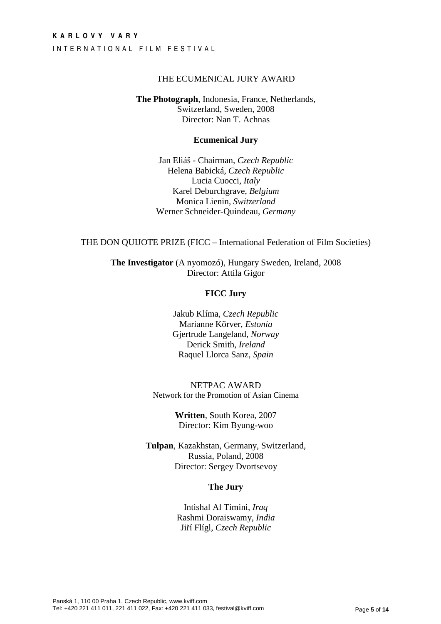## **K A R L O V Y V A R Y**  I N T E R N A T I O N A L F I L M F E S T I V A L

## THE ECUMENICAL JURY AWARD

**The Photograph**, Indonesia, France, Netherlands, Switzerland, Sweden, 2008 Director: Nan T. Achnas

#### **Ecumenical Jury**

Jan Eliáš - Chairman, *Czech Republic* Helena Babická, *Czech Republic*  Lucia Cuocci, *Italy* Karel Deburchgrave, *Belgium* Monica Lienin, *Switzerland* Werner Schneider-Quindeau, *Germany*

THE DON QUIJOTE PRIZE (FICC – International Federation of Film Societies)

**The Investigator** (A nyomozó), Hungary Sweden, Ireland, 2008 Director: Attila Gigor

## **FICC Jury**

Jakub Klíma, *Czech Republic* Marianne Kõrver, *Estonia* Gjertrude Langeland, *Norway* Derick Smith, *Ireland* Raquel Llorca Sanz, *Spain*

NETPAC AWARD Network for the Promotion of Asian Cinema

> **Written**, South Korea, 2007 Director: Kim Byung-woo

**Tulpan**, Kazakhstan, Germany, Switzerland, Russia, Poland, 2008 Director: Sergey Dvortsevoy

## **The Jury**

Intishal Al Timini, *Iraq*  Rashmi Doraiswamy, *India* Jiří Flígl, *Czech Republic*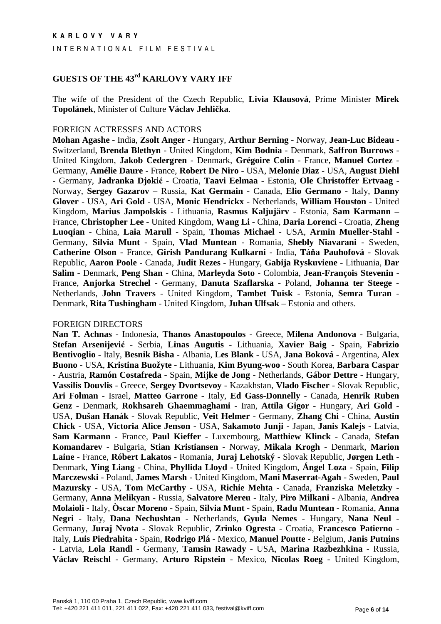## **GUESTS OF THE 43rd KARLOVY VARY IFF**

The wife of the President of the Czech Republic, **Livia Klausová**, Prime Minister **Mirek Topolánek**, Minister of Culture **Václav Jehli**č**ka**.

#### FOREIGN ACTRESSES AND ACTORS

**Mohan Agashe** - India, **Zsolt Anger** - Hungary, **Arthur Berning** - Norway, **Jean-Luc Bideau** - Switzerland, **Brenda Blethyn** - United Kingdom, **Kim Bodnia** - Denmark, **Saffron Burrows** - United Kingdom, **Jakob Cedergren** - Denmark, **Grégoire Colin** - France, **Manuel Cortez** - Germany, **Amélie Daure** - France, **Robert De Niro** - USA, **Melonie Diaz** - USA, **August Diehl** - Germany, **Jadranka Djoki**ć - Croatia, **Taavi Eelmaa** - Estonia, **Ole Christoffer Ertvaag** - Norway, **Sergey Gazarov** – Russia, **Kat Germain** - Canada, **Elio Germano** - Italy, **Danny Glover** - USA, **Ari Gold** - USA, **Monic Hendrickx** - Netherlands, **William Houston** - United Kingdom, **Marius Jampolskis** - Lithuania, **Rasmus Kaljujärv** - Estonia, **Sam Karmann –**  France, **Christopher Lee** - United Kingdom, **Wang Li** - China, **Daria Lorenci** - Croatia, **Zheng Luoqian** - China, **Laia Marull** - Spain, **Thomas Michael** - USA, **Armin Mueller-Stahl** - Germany, **Silvia Munt** - Spain, **Vlad Muntean** - Romania, **Shebly Niavarani** - Sweden, **Catherine Olson** - France, **Girish Pandurang Kulkarni** - India, **Tá**ň**a Pauhofová** - Slovak Republic, **Aaron Poole** - Canada, **Judit Rezes** - Hungary, **Gabija Ryskuviene** - Lithuania, **Dar Salim** - Denmark, **Peng Shan** - China, **Marleyda Soto** - Colombia, **Jean-François Stevenin** - France, **Anjorka Strechel** - Germany, **Danuta Szaflarska** - Poland, **Johanna ter Steege** - Netherlands, **John Travers** - United Kingdom, **Tambet Tuisk** - Estonia, **Semra Turan** - Denmark, **Rita Tushingham** - United Kingdom, **Juhan Ulfsak** – Estonia and others.

## FOREIGN DIRECTORS

**Nan T. Achnas** - Indonesia, **Thanos Anastopoulos** - Greece, **Milena Andonova** - Bulgaria, **Stefan Arsenijevi**ć - Serbia, **Linas Augutis** - Lithuania, **Xavier Baig** - Spain, **Fabrizio Bentivoglio** - Italy, **Besnik Bisha** - Albania, **Les Blank** - USA, **Jana Boková** - Argentina, **Alex Buono** - USA, **Kristina Buožyte** - Lithuania, **Kim Byung-woo** - South Korea, **Barbara Caspar** - Austria, **Ramón Costafreda** - Spain, **Mijke de Jong** - Netherlands, **Gábor Dettre** - Hungary, **Vassilis Douvlis** - Greece, **Sergey Dvortsevoy** - Kazakhstan, **Vlado Fischer** - Slovak Republic, **Ari Folman** - Israel, **Matteo Garrone** - Italy, **Ed Gass-Donnelly** - Canada, **Henrik Ruben Genz** - Denmark, **Rokhsareh Ghaemmaghami** - Iran, **Attila Gigor** - Hungary, **Ari Gold** - USA, **Dušan Hanák** - Slovak Republic, **Veit Helmer** - Germany, **Zhang Chi** - China, **Austin Chick** - USA, **Victoria Alice Jenson** - USA, **Sakamoto Junji** - Japan, **Janis Kalejs** - Latvia, **Sam Karmann** - France, **Paul Kieffer** - Luxembourg, **Matthiew Klinck** - Canada, **Stefan Komandarev** - Bulgaria, **Stian Kristiansen** - Norway, **Mikala Krogh** - Denmark, **Marion Laine** - France, **Róbert Lakatos** - Romania, **Juraj Lehotský** - Slovak Republic, **Jørgen Leth** - Denmark, **Ying Liang** - China, **Phyllida Lloyd** - United Kingdom, **Ángel Loza** - Spain, **Filip Marczewski** - Poland, **James Marsh** - United Kingdom, **Mani Maserrat-Agah** - Sweden, **Paul Mazursky** - USA, **Tom McCarthy** - USA, **Richie Mehta** - Canada, **Franziska Meletzky** - Germany, **Anna Melikyan** - Russia, **Salvatore Mereu** - Italy, **Piro Milkani** - Albania, **Andrea Molaioli** - Italy, **Òscar Moreno** - Spain, **Silvia Munt** - Spain, **Radu Muntean** - Romania, **Anna Negri** - Italy, **Dana Nechushtan** - Netherlands, **Gyula Nemes** - Hungary, **Nana Neul** - Germany, **Juraj Nvota** - Slovak Republic, **Zrinko Ogresta** - Croatia, **Francesco Patierno** - Italy, **Luis Piedrahita** - Spain, **Rodrigo Plá** - Mexico, **Manuel Poutte** - Belgium, **Janis Putnins** - Latvia, **Lola Randl** - Germany, **Tamsin Rawady** - USA, **Marina Razbezhkina** - Russia, **Václav Reischl** - Germany, **Arturo Ripstein** - Mexico, **Nicolas Roeg** - United Kingdom,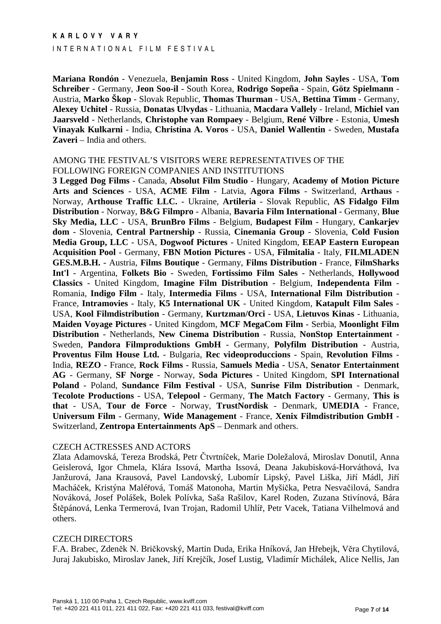#### INTERNATIONAL FILM FESTIVAL

**Mariana Rondón** - Venezuela, **Benjamin Ross** - United Kingdom, **John Sayles** - USA, **Tom Schreiber** - Germany, **Jeon Soo-il** - South Korea, **Rodrigo Sopeña** - Spain, **Götz Spielmann** - Austria, **Marko Škop** - Slovak Republic, **Thomas Thurman** - USA, **Bettina Timm** - Germany, **Alexey Uchitel** - Russia, **Donatas Ulvydas** - Lithuania, **Macdara Vallely** - Ireland, **Michiel van Jaarsveld** - Netherlands, **Christophe van Rompaey** - Belgium, **René Vilbre** - Estonia, **Umesh Vinayak Kulkarni** - India, **Christina A. Voros** - USA, **Daniel Wallentin** - Sweden, **Mustafa Zaveri** – India and others.

#### AMONG THE FESTIVAL'S VISITORS WERE REPRESENTATIVES OF THE FOLLOWING FOREIGN COMPANIES AND INSTITUTIONS

**3 Legged Dog Films** - Canada, **Absolut Film Studio** - Hungary, **Academy of Motion Picture Arts and Sciences** - USA, **ACME Film** - Latvia, **Agora Films** - Switzerland, **Arthaus** - Norway, **Arthouse Traffic LLC.** - Ukraine, **Artileria** - Slovak Republic, **AS Fidalgo Film Distribution** - Norway, **B&G Filmpro** - Albania, **Bavaria Film International** - Germany, **Blue Sky Media, LLC** - USA, **BrunBro Films** - Belgium, **Budapest Film** - Hungary, **Cankarjev dom** - Slovenia, **Central Partnership** - Russia, **Cinemania Group** - Slovenia, **Cold Fusion Media Group, LLC** - USA, **Dogwoof Pictures** - United Kingdom, **EEAP Eastern European Acquisition Pool** - Germany, **FBN Motion Pictures** - USA, **Filmitalia** - Italy, **FILMLADEN GES.M.B.H.** - Austria, **Films Boutique** - Germany, **Films Distribution** - France, **FilmSharks Int'l** - Argentina, **Folkets Bio** - Sweden, **Fortissimo Film Sales** - Netherlands, **Hollywood Classics** - United Kingdom, **Imagine Film Distribution** - Belgium, **Independenta Film** - Romania, **Indigo Film** - Italy, **Intermedia Films** - USA, **International Film Distribution** - France, **Intramovies** - Italy, **K5 International UK** - United Kingdom, **Katapult Film Sales** - USA, **Kool Filmdistribution** - Germany, **Kurtzman/Orci** - USA, **Lietuvos Kinas** - Lithuania, **Maiden Voyage Pictures** - United Kingdom, **MCF MegaCom Film** - Serbia, **Moonlight Film Distribution** - Netherlands, **New Cinema Distribution** - Russia, **NonStop Entertainment** - Sweden, **Pandora Filmproduktions GmbH** - Germany, **Polyfilm Distribution** - Austria, **Proventus Film House Ltd.** - Bulgaria, **Rec videoproduccions** - Spain, **Revolution Films** - India, **REZO** - France, **Rock Films** - Russia, **Samuels Media** - USA, **Senator Entertainment AG** - Germany, **SF Norge** - Norway, **Soda Pictures** - United Kingdom, **SPI International Poland** - Poland, **Sundance Film Festival** - USA, **Sunrise Film Distribution** - Denmark, **Tecolote Productions** - USA, **Telepool** - Germany, **The Match Factory** - Germany, **This is that** - USA, **Tour de Force** - Norway, **TrustNordisk** - Denmark, **UMEDIA** - France, **Universum Film** - Germany, **Wide Management** - France, **Xenix Filmdistribution GmbH** - Switzerland, **Zentropa Entertainments ApS** – Denmark and others.

#### CZECH ACTRESSES AND ACTORS

Zlata Adamovská, Tereza Brodská, Petr Čtvrtníček, Marie Doležalová, Miroslav Donutil, Anna Geislerová, Igor Chmela, Klára Issová, Martha Issová, Deana Jakubisková-Horváthová, Iva Janžurová, Jana Krausová, Pavel Landovský, Lubomír Lipský, Pavel Liška, Jiří Mádl, Jiří Macháček, Kristýna Maléřová, Tomáš Matonoha, Martin Myšička, Petra Nesvačilová, Sandra Nováková, Josef Polášek, Bolek Polívka, Saša Rašilov, Karel Roden, Zuzana Stivínová, Bára Štěpánová, Lenka Termerová, Ivan Trojan, Radomil Uhlíř, Petr Vacek, Tatiana Vilhelmová and others.

#### CZECH DIRECTORS

F.A. Brabec, Zdeněk N. Bričkovský, Martin Duda, Erika Hníková, Jan Hřebejk, Věra Chytilová, Juraj Jakubisko, Miroslav Janek, Jiří Krejčík, Josef Lustig, Vladimír Michálek, Alice Nellis, Jan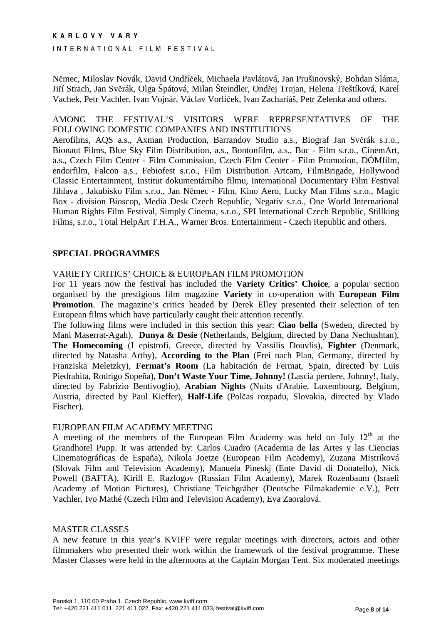INTERNATIONAL FILM FESTIVAL

Němec, Miloslav Novák, David Ondříček, Michaela Pavlátová, Jan Prušinovský, Bohdan Sláma, Jiří Strach, Jan Svěrák, Olga Špátová, Milan Šteindler, Ondřej Trojan, Helena Třeštíková, Karel Vachek, Petr Vachler, Ivan Vojnár, Václav Vorlíček, Ivan Zachariáš, Petr Zelenka and others.

## AMONG THE FESTIVAL'S VISITORS WERE REPRESENTATIVES OF THE FOLLOWING DOMESTIC COMPANIES AND INSTITUTIONS

Aerofilms, AQS a.s., Axman Production, Barrandov Studio a.s., Biograf Jan Svěrák s.r.o., Bionaut Films, Blue Sky Film Distribution, a.s., Bontonfilm, a.s., Buc - Film s.r.o., CinemArt, a.s., Czech Film Center - Film Commission, Czech Film Center - Film Promotion, DÓMfilm, endorfilm, Falcon a.s., Febiofest s.r.o., Film Distribution Artcam, FilmBrigade, Hollywood Classic Entertainment, Institut dokumentárního filmu, International Documentary Film Festival Jihlava , Jakubisko Film s.r.o., Jan Němec - Film, Kino Aero, Lucky Man Films s.r.o., Magic Box - division Bioscop, Media Desk Czech Republic, Negativ s.r.o., One World International Human Rights Film Festival, Simply Cinema, s.r.o., SPI International Czech Republic, Stillking Films, s.r.o., Total HelpArt T.H.A., Warner Bros. Entertainment - Czech Republic and others.

## **SPECIAL PROGRAMMES**

VARIETY CRITICS' CHOICE & EUROPEAN FILM PROMOTION

For 11 years now the festival has included the **Variety Critics' Choice**, a popular section organised by the prestigious film magazine **Variety** in co-operation with **European Film Promotion**. The magazine's critics headed by Derek Elley presented their selection of ten European films which have particularly caught their attention recently.

The following films were included in this section this year: **Ciao bella** (Sweden, directed by Mani Maserrat-Agah), **Dunya & Desie** (Netherlands, Belgium, directed by Dana Nechushtan), **The Homecoming** (I epistrofi, Greece, directed by Vassilis Douvlis), **Fighter** (Denmark, directed by Natasha Arthy), **According to the Plan** (Frei nach Plan, Germany, directed by Franziska Meletzky), **Fermat's Room** (La habitación de Fermat, Spain, directed by Luis Piedrahita, Rodrigo Sopeña), **Don't Waste Your Time, Johnny!** (Lascia perdere, Johnny!, Italy, directed by Fabrizio Bentivoglio), **Arabian Nights** (Nuits d'Arabie, Luxembourg, Belgium, Austria, directed by Paul Kieffer), **Half-Life** (Polčas rozpadu, Slovakia, directed by Vlado Fischer).

## EUROPEAN FILM ACADEMY MEETING

A meeting of the members of the European Film Academy was held on July  $12<sup>th</sup>$  at the Grandhotel Pupp. It was attended by: Carlos Cuadro (Academia de las Artes y las Ciencias Cinematográficas de España), Nikola Joetze (European Film Academy), Zuzana Mistríková (Slovak Film and Television Academy), Manuela Pineskj (Ente David di Donatello), Nick Powell (BAFTA), Kirill E. Razlogov (Russian Film Academy), Marek Rozenbaum (Israeli Academy of Motion Pictures), Christiane Teichgräber (Deutsche Filmakademie e.V.), Petr Vachler, Ivo Mathé (Czech Film and Television Academy), Eva Zaoralová.

## MASTER CLASSES

A new feature in this year's KVIFF were regular meetings with directors, actors and other filmmakers who presented their work within the framework of the festival programme. These Master Classes were held in the afternoons at the Captain Morgan Tent. Six moderated meetings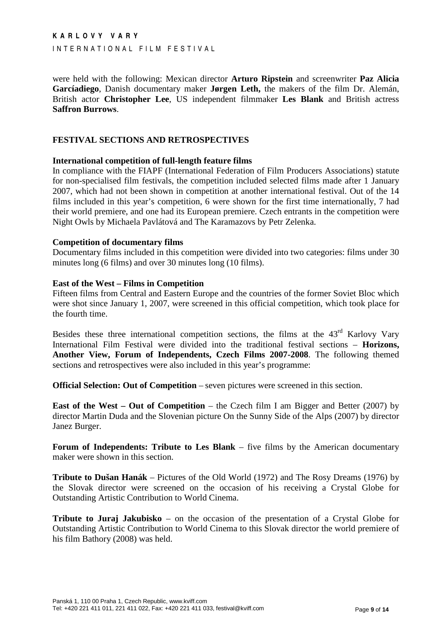I N T E R N A T I O N A L F I L M F E S T I V A L

were held with the following: Mexican director **Arturo Ripstein** and screenwriter **Paz Alicia Garcíadiego**, Danish documentary maker **Jørgen Leth,** the makers of the film Dr. Alemán, British actor **Christopher Lee**, US independent filmmaker **Les Blank** and British actress **Saffron Burrows**.

## **FESTIVAL SECTIONS AND RETROSPECTIVES**

#### **International competition of full-length feature films**

In compliance with the FIAPF (International Federation of Film Producers Associations) statute for non-specialised film festivals, the competition included selected films made after 1 January 2007, which had not been shown in competition at another international festival. Out of the 14 films included in this year's competition, 6 were shown for the first time internationally, 7 had their world premiere, and one had its European premiere. Czech entrants in the competition were Night Owls by Michaela Pavlátová and The Karamazovs by Petr Zelenka.

#### **Competition of documentary films**

Documentary films included in this competition were divided into two categories: films under 30 minutes long (6 films) and over 30 minutes long (10 films).

#### **East of the West – Films in Competition**

Fifteen films from Central and Eastern Europe and the countries of the former Soviet Bloc which were shot since January 1, 2007, were screened in this official competition, which took place for the fourth time.

Besides these three international competition sections, the films at the 43<sup>rd</sup> Karlovy Vary International Film Festival were divided into the traditional festival sections – **Horizons, Another View, Forum of Independents, Czech Films 2007-2008**. The following themed sections and retrospectives were also included in this year's programme:

**Official Selection: Out of Competition** – seven pictures were screened in this section.

**East of the West – Out of Competition** – the Czech film I am Bigger and Better (2007) by director Martin Duda and the Slovenian picture On the Sunny Side of the Alps (2007) by director Janez Burger.

**Forum of Independents: Tribute to Les Blank** – five films by the American documentary maker were shown in this section.

**Tribute to Dušan Hanák** – Pictures of the Old World (1972) and The Rosy Dreams (1976) by the Slovak director were screened on the occasion of his receiving a Crystal Globe for Outstanding Artistic Contribution to World Cinema.

**Tribute to Juraj Jakubisko** – on the occasion of the presentation of a Crystal Globe for Outstanding Artistic Contribution to World Cinema to this Slovak director the world premiere of his film Bathory (2008) was held.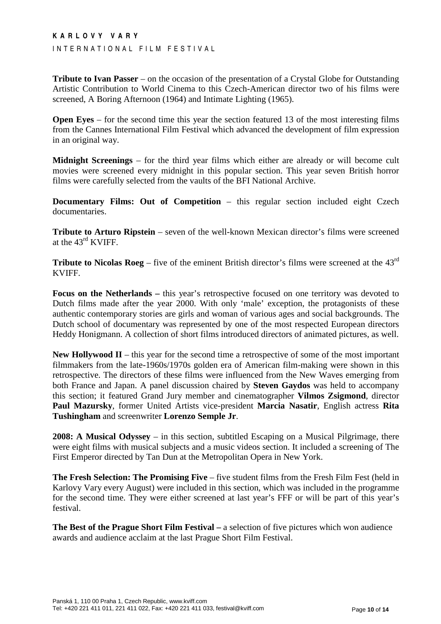#### INTERNATIONAL FILM FESTIVAL

**Tribute to Ivan Passer** – on the occasion of the presentation of a Crystal Globe for Outstanding Artistic Contribution to World Cinema to this Czech-American director two of his films were screened, A Boring Afternoon (1964) and Intimate Lighting (1965).

**Open Eyes** – for the second time this year the section featured 13 of the most interesting films from the Cannes International Film Festival which advanced the development of film expression in an original way.

**Midnight Screenings** – for the third year films which either are already or will become cult movies were screened every midnight in this popular section. This year seven British horror films were carefully selected from the vaults of the BFI National Archive.

**Documentary Films: Out of Competition** – this regular section included eight Czech documentaries.

**Tribute to Arturo Ripstein** – seven of the well-known Mexican director's films were screened at the 43rd KVIFF.

**Tribute to Nicolas Roeg** – five of the eminent British director's films were screened at the 43<sup>rd</sup> KVIFF.

**Focus on the Netherlands –** this year's retrospective focused on one territory was devoted to Dutch films made after the year 2000. With only 'male' exception, the protagonists of these authentic contemporary stories are girls and woman of various ages and social backgrounds. The Dutch school of documentary was represented by one of the most respected European directors Heddy Honigmann. A collection of short films introduced directors of animated pictures, as well.

**New Hollywood II** – this year for the second time a retrospective of some of the most important filmmakers from the late-1960s/1970s golden era of American film-making were shown in this retrospective. The directors of these films were influenced from the New Waves emerging from both France and Japan. A panel discussion chaired by **Steven Gaydos** was held to accompany this section; it featured Grand Jury member and cinematographer **Vilmos Zsigmond**, director **Paul Mazursky**, former United Artists vice-president **Marcia Nasatir**, English actress **Rita Tushingham** and screenwriter **Lorenzo Semple Jr**.

**2008: A Musical Odyssey** – in this section, subtitled Escaping on a Musical Pilgrimage, there were eight films with musical subjects and a music videos section. It included a screening of The First Emperor directed by Tan Dun at the Metropolitan Opera in New York.

**The Fresh Selection: The Promising Five** – five student films from the Fresh Film Fest (held in Karlovy Vary every August) were included in this section, which was included in the programme for the second time. They were either screened at last year's FFF or will be part of this year's festival.

**The Best of the Prague Short Film Festival –** a selection of five pictures which won audience awards and audience acclaim at the last Prague Short Film Festival.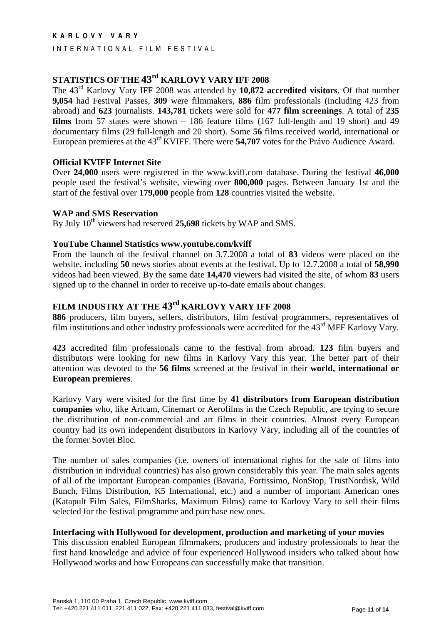INTERNATIONAL FILM FESTIVAL

# **STATISTICS OF THE 43rd KARLOVY VARY IFF 2008**

The 43rd Karlovy Vary IFF 2008 was attended by **10,872 accredited visitors**. Of that number **9,054** had Festival Passes, **309** were filmmakers, **886** film professionals (including 423 from abroad) and **623** journalists. **143,781** tickets were sold for **477 film screenings**. A total of **235 films** from 57 states were shown – 186 feature films (167 full-length and 19 short) and 49 documentary films (29 full-length and 20 short). Some **56** films received world, international or European premieres at the 43rd KVIFF. There were **54,707** votes for the Právo Audience Award.

## **Official KVIFF Internet Site**

Over **24,000** users were registered in the www.kviff.com database. During the festival **46,000** people used the festival's website, viewing over **800,000** pages. Between January 1st and the start of the festival over **179,000** people from **128** countries visited the website.

#### **WAP and SMS Reservation**

By July 10<sup>th</sup> viewers had reserved 25,698 tickets by WAP and SMS.

#### **YouTube Channel Statistics www.youtube.com/kviff**

From the launch of the festival channel on 3.7.2008 a total of **83** videos were placed on the website, including **50** news stories about events at the festival. Up to 12.7.2008 a total of **58,990**  videos had been viewed. By the same date **14,470** viewers had visited the site, of whom **83** users signed up to the channel in order to receive up-to-date emails about changes.

# **FILM INDUSTRY AT THE 43rd KARLOVY VARY IFF 2008**

**886** producers, film buyers, sellers, distributors, film festival programmers, representatives of film institutions and other industry professionals were accredited for the 43<sup>rd</sup> MFF Karlovy Vary.

**423** accredited film professionals came to the festival from abroad. **123** film buyers and distributors were looking for new films in Karlovy Vary this year. The better part of their attention was devoted to the **56 films** screened at the festival in their **world, international or European premieres**.

Karlovy Vary were visited for the first time by **41 distributors from European distribution companies** who, like Artcam, Cinemart or Aerofilms in the Czech Republic, are trying to secure the distribution of non-commercial and art films in their countries. Almost every European country had its own independent distributors in Karlovy Vary, including all of the countries of the former Soviet Bloc.

The number of sales companies (i.e. owners of international rights for the sale of films into distribution in individual countries) has also grown considerably this year. The main sales agents of all of the important European companies (Bavaria, Fortissimo, NonStop, TrustNordisk, Wild Bunch, Films Distribution, K5 International, etc.) and a number of important American ones (Katapult Film Sales, FilmSharks, Maximum Films) came to Karlovy Vary to sell their films selected for the festival programme and purchase new ones.

## **Interfacing with Hollywood for development, production and marketing of your movies**

This discussion enabled European filmmakers, producers and industry professionals to hear the first hand knowledge and advice of four experienced Hollywood insiders who talked about how Hollywood works and how Europeans can successfully make that transition.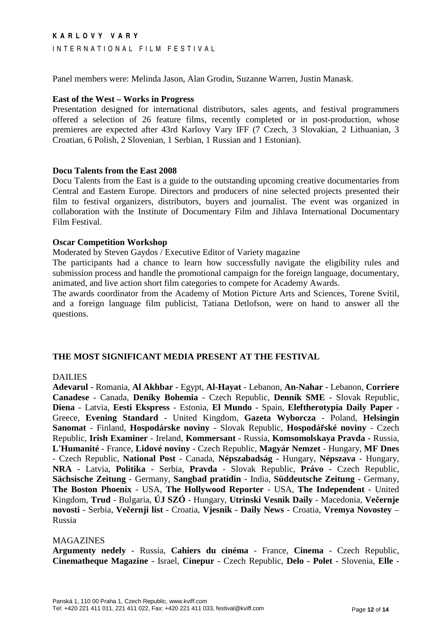INTERNATIONAL FILM FESTIVAL

Panel members were: Melinda Jason, Alan Grodin, Suzanne Warren, Justin Manask.

#### **East of the West – Works in Progress**

Presentation designed for international distributors, sales agents, and festival programmers offered a selection of 26 feature films, recently completed or in post-production, whose premieres are expected after 43rd Karlovy Vary IFF (7 Czech, 3 Slovakian, 2 Lithuanian, 3 Croatian, 6 Polish, 2 Slovenian, 1 Serbian, 1 Russian and 1 Estonian).

#### **Docu Talents from the East 2008**

Docu Talents from the East is a guide to the outstanding upcoming creative documentaries from Central and Eastern Europe. Directors and producers of nine selected projects presented their film to festival organizers, distributors, buyers and journalist. The event was organized in collaboration with the Institute of Documentary Film and Jihlava International Documentary Film Festival.

#### **Oscar Competition Workshop**

Moderated by Steven Gaydos / Executive Editor of Variety magazine

The participants had a chance to learn how successfully navigate the eligibility rules and submission process and handle the promotional campaign for the foreign language, documentary, animated, and live action short film categories to compete for Academy Awards.

The awards coordinator from the Academy of Motion Picture Arts and Sciences, Torene Svitil, and a foreign language film publicist, Tatiana Detlofson, were on hand to answer all the questions.

## **THE MOST SIGNIFICANT MEDIA PRESENT AT THE FESTIVAL**

## DAILIES

**Adevarul** - Romania, **Al Akhbar** - Egypt, **Al-Hayat** - Lebanon, **An-Nahar** - Lebanon, **Corriere Canadese** - Canada, **Deníky Bohemia** - Czech Republic, **Denník SME** - Slovak Republic, **Diena** - Latvia, **Eesti Ekspress** - Estonia, **El Mundo** - Spain, **Eleftherotypia Daily Paper** - Greece, **Evening Standard** - United Kingdom, **Gazeta Wyborcza** - Poland, **Helsingin Sanomat** - Finland, **Hospodárske noviny** - Slovak Republic, **Hospodá**ř**ské noviny** - Czech Republic, **Irish Examiner** - Ireland, **Kommersant** - Russia, **Komsomolskaya Pravda** - Russia, **L'Humanité** - France, **Lidové noviny** - Czech Republic, **Magyár Nemzet** - Hungary, **MF Dnes** - Czech Republic, **National Post** - Canada, **Népszabadság** - Hungary, **Népszava** - Hungary, **NRA** - Latvia, **Politika** - Serbia, **Pravda** - Slovak Republic, **Právo** - Czech Republic, **Sächsische Zeitung** - Germany, **Sangbad pratidin** - India, **Süddeutsche Zeitung** - Germany, **The Boston Phoenix** - USA, **The Hollywood Reporter** - USA, **The Independent** - United Kingdom, **Trud** - Bulgaria, **ÚJ SZÓ** - Hungary, **Utrinski Vesnik Daily** - Macedonia, **Ve**č**ernje novosti** - Serbia, **Ve**č**ernji list** - Croatia, **Vjesnik - Daily News** - Croatia, **Vremya Novostey** – Russia

#### MAGAZINES

**Argumenty nedely** - Russia, **Cahiers du cinéma** - France, **Cinema** - Czech Republic, **Cinematheque Magazine** - Israel, **Cinepur** - Czech Republic, **Delo - Polet** - Slovenia, **Elle** -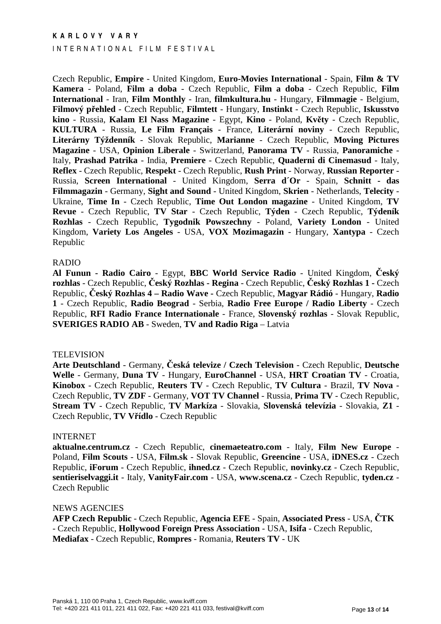#### INTERNATIONAL FILM FESTIVAL

Czech Republic, **Empire** - United Kingdom, **Euro-Movies International** - Spain, **Film & TV Kamera** - Poland, **Film a doba** - Czech Republic, **Film a doba** - Czech Republic, **Film International** - Iran, **Film Monthly** - Iran, **filmkultura.hu** - Hungary, **Filmmagie** - Belgium, **Filmový p**ř**ehled** - Czech Republic, **Filmtett** - Hungary, **Instinkt** - Czech Republic, **Iskusstvo kino** - Russia, **Kalam El Nass Magazine** - Egypt, **Kino** - Poland, **Kv**ě**ty** - Czech Republic, **KULTURA** - Russia, **Le Film Français** - France, **Literární noviny** - Czech Republic, **Literárny Týždenník** - Slovak Republic, **Marianne** - Czech Republic, **Moving Pictures Magazine** - USA, **Opinion Liberale** - Switzerland, **Panorama TV** - Russia, **Panoramiche** - Italy, **Prashad Patrika** - India, **Premiere** - Czech Republic, **Quaderni di Cinemasud** - Italy, **Reflex** - Czech Republic, **Respekt** - Czech Republic, **Rush Print** - Norway, **Russian Reporter** - Russia, **Screen International** - United Kingdom, **Serra d´Or** - Spain, **Schnitt - das Filmmagazin** - Germany, **Sight and Sound** - United Kingdom, **Skrien** - Netherlands, **Telecity** - Ukraine, **Time In** - Czech Republic, **Time Out London magazine** - United Kingdom, **TV Revue** - Czech Republic, **TV Star** - Czech Republic, **Týden** - Czech Republic, **Týdeník Rozhlas** - Czech Republic, **Tygodnik Powszechny** - Poland, **Variety London** - United Kingdom, **Variety Los Angeles** - USA, **VOX Mozimagazin** - Hungary, **Xantypa** - Czech Republic

#### RADIO

**Al Funun - Radio Cairo** - Egypt, **BBC World Service Radio** - United Kingdom, Č**eský rozhlas** - Czech Republic, Č**eský Rozhlas - Regina** - Czech Republic, Č**eský Rozhlas 1 -** Czech Republic, Č**eský Rozhlas 4 – Radio Wave -** Czech Republic, **Magyar Rádió** - Hungary, **Radio 1** - Czech Republic, **Radio Beograd** - Serbia, **Radio Free Europe / Radio Liberty** - Czech Republic, **RFI Radio France Internationale** - France, **Slovenský rozhlas** - Slovak Republic, **SVERIGES RADIO AB** - Sweden, **TV and Radio Riga** – Latvia

#### **TELEVISION**

**Arte Deutschland** - Germany, Č**eská televize / Czech Television** - Czech Republic, **Deutsche Welle** - Germany, **Duna TV** - Hungary, **EuroChannel** - USA, **HRT Croatian TV** - Croatia, **Kinobox** - Czech Republic, **Reuters TV** - Czech Republic, **TV Cultura** - Brazil, **TV Nova** - Czech Republic, **TV ZDF** - Germany, **VOT TV Channel** - Russia, **Prima TV** - Czech Republic, **Stream TV** - Czech Republic, **TV Markíza** - Slovakia, **Slovenská televízia** - Slovakia, **Z1** - Czech Republic, **TV V**ř**ídlo** - Czech Republic

#### INTERNET

**aktualne.centrum.cz** - Czech Republic, **cinemaeteatro.com** - Italy, **Film New Europe** - Poland, **Film Scouts** - USA, **Film.sk** - Slovak Republic, **Greencine** - USA, **iDNES.cz** - Czech Republic, **iForum** - Czech Republic, **ihned.cz** - Czech Republic, **novinky.cz** - Czech Republic, **sentieriselvaggi.it** - Italy, **VanityFair.com** - USA, **www.scena.cz** - Czech Republic, **tyden.cz** - Czech Republic

#### NEWS AGENCIES

**AFP Czech Republic** - Czech Republic, **Agencia EFE** - Spain, **Associated Press** - USA, Č**TK** - Czech Republic, **Hollywood Foreign Press Association** - USA, **Isifa** - Czech Republic, **Mediafax** - Czech Republic, **Rompres** - Romania, **Reuters TV** - UK